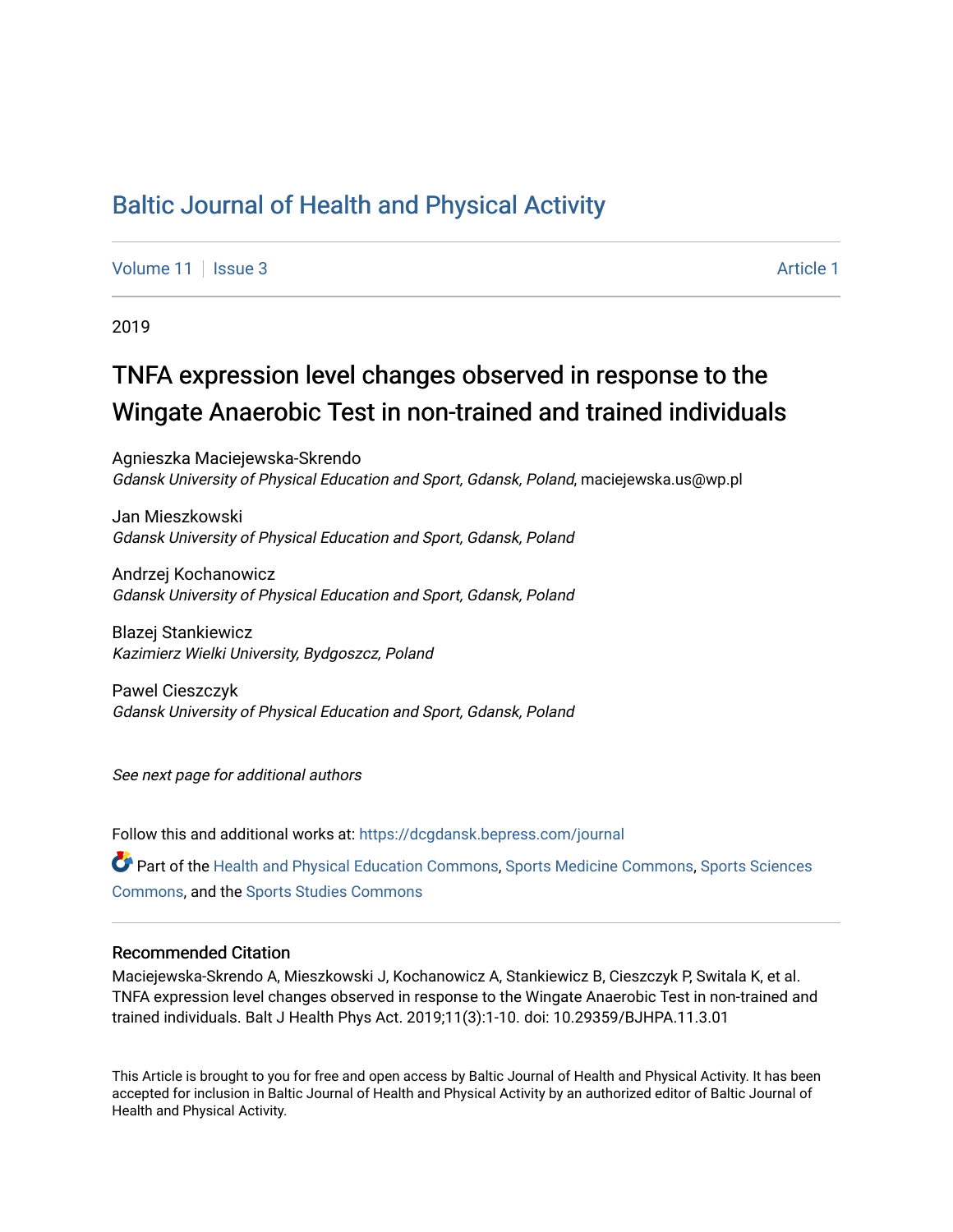## [Baltic Journal of Health and Physical Activity](https://dcgdansk.bepress.com/journal)

[Volume 11](https://dcgdansk.bepress.com/journal/vol11) | [Issue 3](https://dcgdansk.bepress.com/journal/vol11/iss3) Article 1

2019

# TNFA expression level changes observed in response to the Wingate Anaerobic Test in non-trained and trained individuals

Agnieszka Maciejewska-Skrendo Gdansk University of Physical Education and Sport, Gdansk, Poland, maciejewska.us@wp.pl

Jan Mieszkowski Gdansk University of Physical Education and Sport, Gdansk, Poland

Andrzej Kochanowicz Gdansk University of Physical Education and Sport, Gdansk, Poland

Blazej Stankiewicz Kazimierz Wielki University, Bydgoszcz, Poland

Pawel Cieszczyk Gdansk University of Physical Education and Sport, Gdansk, Poland

See next page for additional authors

Follow this and additional works at: [https://dcgdansk.bepress.com/journal](https://dcgdansk.bepress.com/journal?utm_source=dcgdansk.bepress.com%2Fjournal%2Fvol11%2Fiss3%2F1&utm_medium=PDF&utm_campaign=PDFCoverPages)

Part of the [Health and Physical Education Commons](http://network.bepress.com/hgg/discipline/1327?utm_source=dcgdansk.bepress.com%2Fjournal%2Fvol11%2Fiss3%2F1&utm_medium=PDF&utm_campaign=PDFCoverPages), [Sports Medicine Commons,](http://network.bepress.com/hgg/discipline/1331?utm_source=dcgdansk.bepress.com%2Fjournal%2Fvol11%2Fiss3%2F1&utm_medium=PDF&utm_campaign=PDFCoverPages) [Sports Sciences](http://network.bepress.com/hgg/discipline/759?utm_source=dcgdansk.bepress.com%2Fjournal%2Fvol11%2Fiss3%2F1&utm_medium=PDF&utm_campaign=PDFCoverPages) [Commons](http://network.bepress.com/hgg/discipline/759?utm_source=dcgdansk.bepress.com%2Fjournal%2Fvol11%2Fiss3%2F1&utm_medium=PDF&utm_campaign=PDFCoverPages), and the [Sports Studies Commons](http://network.bepress.com/hgg/discipline/1198?utm_source=dcgdansk.bepress.com%2Fjournal%2Fvol11%2Fiss3%2F1&utm_medium=PDF&utm_campaign=PDFCoverPages) 

#### Recommended Citation

Maciejewska-Skrendo A, Mieszkowski J, Kochanowicz A, Stankiewicz B, Cieszczyk P, Switala K, et al. TNFA expression level changes observed in response to the Wingate Anaerobic Test in non-trained and trained individuals. Balt J Health Phys Act. 2019;11(3):1-10. doi: 10.29359/BJHPA.11.3.01

This Article is brought to you for free and open access by Baltic Journal of Health and Physical Activity. It has been accepted for inclusion in Baltic Journal of Health and Physical Activity by an authorized editor of Baltic Journal of Health and Physical Activity.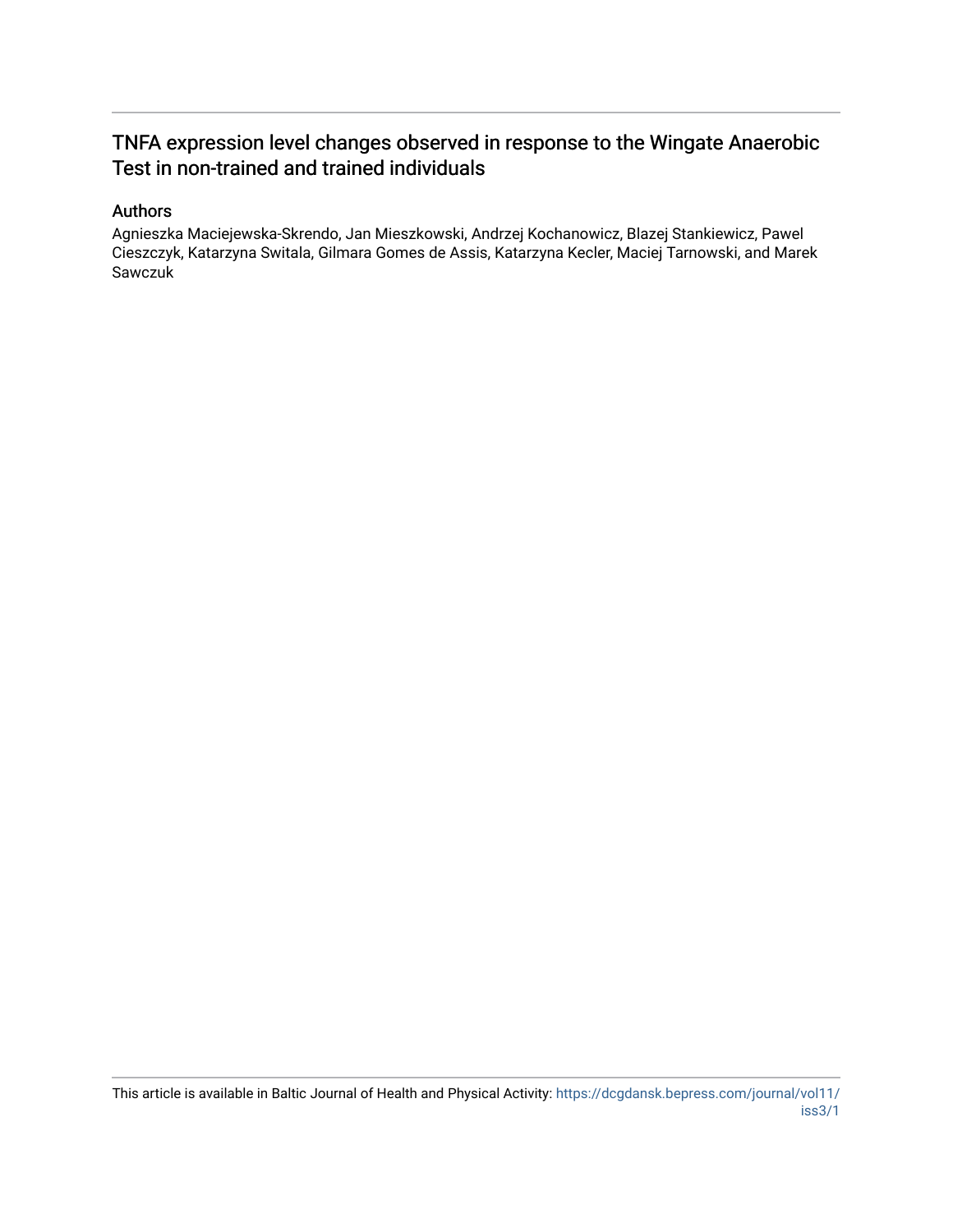## TNFA expression level changes observed in response to the Wingate Anaerobic Test in non-trained and trained individuals

#### Authors

Agnieszka Maciejewska-Skrendo, Jan Mieszkowski, Andrzej Kochanowicz, Blazej Stankiewicz, Pawel Cieszczyk, Katarzyna Switala, Gilmara Gomes de Assis, Katarzyna Kecler, Maciej Tarnowski, and Marek Sawczuk

This article is available in Baltic Journal of Health and Physical Activity: [https://dcgdansk.bepress.com/journal/vol11/](https://dcgdansk.bepress.com/journal/vol11/iss3/1) [iss3/1](https://dcgdansk.bepress.com/journal/vol11/iss3/1)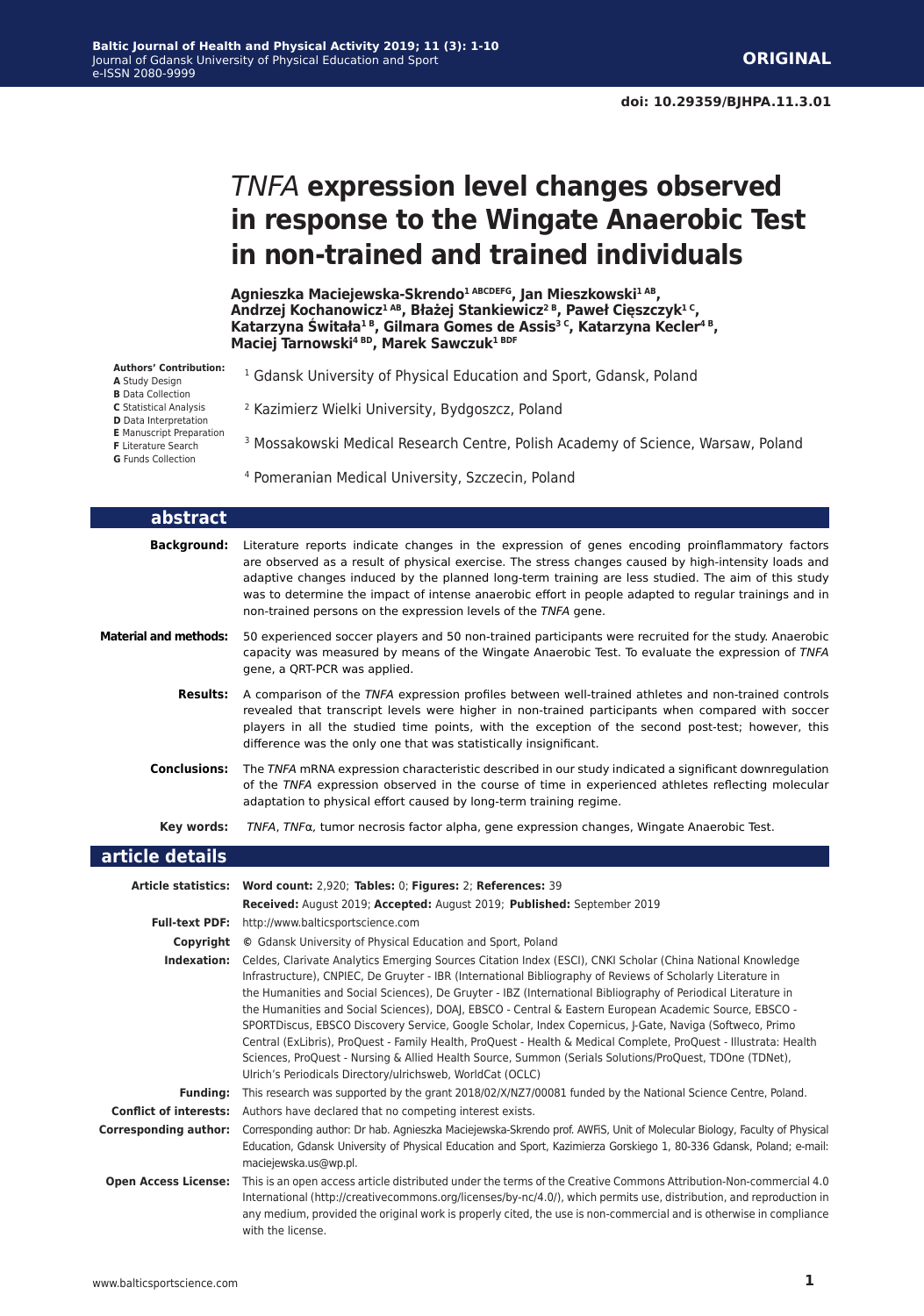# *TNFA* **expression level changes observed in response to the Wingate Anaerobic Test in non-trained and trained individuals**

**Agnieszka Maciejewska-Skrendo1 ABCDEFG, Jan Mieszkowski1 AB, Andrzej Kochanowicz1 AB, Błażej Stankiewicz2 B, Paweł Cięszczyk1 C, Katarzyna Świtała1 B, Gilmara Gomes de Assis3 C, Katarzyna Kecler4 B, Maciej Tarnowski4 BD, Marek Sawczuk1 BDF**

| <b>Authors' Contribution:</b><br>A Study Design<br><b>B</b> Data Collection                | <sup>1</sup> Gdansk University of Physical Education and Sport, Gdansk, Poland              |
|--------------------------------------------------------------------------------------------|---------------------------------------------------------------------------------------------|
| <b>C</b> Statistical Analysis<br><b>D</b> Data Interpretation                              | <sup>2</sup> Kazimierz Wielki University, Bydgoszcz, Poland                                 |
| <b>E</b> Manuscript Preparation<br><b>F</b> Literature Search<br><b>G</b> Funds Collection | <sup>3</sup> Mossakowski Medical Research Centre, Polish Academy of Science, Warsaw, Poland |
|                                                                                            | <sup>4</sup> Pomeranian Medical University, Szczecin, Poland                                |

| abstract                     |                                                                                                                                                                                                                                                                                                                                                                                                                                                                                                                                                                                                                                                                                                                                                                                                                                                                                  |
|------------------------------|----------------------------------------------------------------------------------------------------------------------------------------------------------------------------------------------------------------------------------------------------------------------------------------------------------------------------------------------------------------------------------------------------------------------------------------------------------------------------------------------------------------------------------------------------------------------------------------------------------------------------------------------------------------------------------------------------------------------------------------------------------------------------------------------------------------------------------------------------------------------------------|
| <b>Background:</b>           | Literature reports indicate changes in the expression of genes encoding proinflammatory factors<br>are observed as a result of physical exercise. The stress changes caused by high-intensity loads and<br>adaptive changes induced by the planned long-term training are less studied. The aim of this study<br>was to determine the impact of intense anaerobic effort in people adapted to regular trainings and in<br>non-trained persons on the expression levels of the TNFA gene.                                                                                                                                                                                                                                                                                                                                                                                         |
| <b>Material and methods:</b> | 50 experienced soccer players and 50 non-trained participants were recruited for the study. Anaerobic<br>capacity was measured by means of the Wingate Anaerobic Test. To evaluate the expression of TNFA<br>gene, a QRT-PCR was applied.                                                                                                                                                                                                                                                                                                                                                                                                                                                                                                                                                                                                                                        |
| <b>Results:</b>              | A comparison of the TNFA expression profiles between well-trained athletes and non-trained controls<br>revealed that transcript levels were higher in non-trained participants when compared with soccer<br>players in all the studied time points, with the exception of the second post-test; however, this<br>difference was the only one that was statistically insignificant.                                                                                                                                                                                                                                                                                                                                                                                                                                                                                               |
| <b>Conclusions:</b>          | The TNFA mRNA expression characteristic described in our study indicated a significant downregulation<br>of the TNFA expression observed in the course of time in experienced athletes reflecting molecular<br>adaptation to physical effort caused by long-term training regime.                                                                                                                                                                                                                                                                                                                                                                                                                                                                                                                                                                                                |
| Key words:                   | $TNFA$ , $TNFA$ , tumor necrosis factor alpha, gene expression changes, Wingate Anaerobic Test.                                                                                                                                                                                                                                                                                                                                                                                                                                                                                                                                                                                                                                                                                                                                                                                  |
| article details              |                                                                                                                                                                                                                                                                                                                                                                                                                                                                                                                                                                                                                                                                                                                                                                                                                                                                                  |
|                              | Article statistics: Word count: 2,920; Tables: 0; Figures: 2; References: 39<br>Received: August 2019; Accepted: August 2019; Published: September 2019                                                                                                                                                                                                                                                                                                                                                                                                                                                                                                                                                                                                                                                                                                                          |
|                              | Full-text PDF: http://www.balticsportscience.com                                                                                                                                                                                                                                                                                                                                                                                                                                                                                                                                                                                                                                                                                                                                                                                                                                 |
|                              | <b>Copyright</b> © Gdansk University of Physical Education and Sport, Poland                                                                                                                                                                                                                                                                                                                                                                                                                                                                                                                                                                                                                                                                                                                                                                                                     |
|                              | <b>Indexation:</b> Celdes, Clarivate Analytics Emerging Sources Citation Index (ESCI), CNKI Scholar (China National Knowledge<br>Infrastructure), CNPIEC, De Gruyter - IBR (International Bibliography of Reviews of Scholarly Literature in<br>the Humanities and Social Sciences), De Gruyter - IBZ (International Bibliography of Periodical Literature in<br>the Humanities and Social Sciences), DOAJ, EBSCO - Central & Eastern European Academic Source, EBSCO -<br>SPORTDiscus, EBSCO Discovery Service, Google Scholar, Index Copernicus, J-Gate, Naviga (Softweco, Primo<br>Central (ExLibris), ProQuest - Family Health, ProQuest - Health & Medical Complete, ProQuest - Illustrata: Health<br>Sciences, ProQuest - Nursing & Allied Health Source, Summon (Serials Solutions/ProQuest, TDOne (TDNet),<br>Ulrich's Periodicals Directory/ulrichsweb, WorldCat (OCLC) |
|                              | Funding: This research was supported by the grant 2018/02/X/NZ7/00081 funded by the National Science Centre, Poland.                                                                                                                                                                                                                                                                                                                                                                                                                                                                                                                                                                                                                                                                                                                                                             |
|                              | <b>Conflict of interests:</b> Authors have declared that no competing interest exists.                                                                                                                                                                                                                                                                                                                                                                                                                                                                                                                                                                                                                                                                                                                                                                                           |
| <b>Corresponding author:</b> | Corresponding author: Dr hab. Agnieszka Maciejewska-Skrendo prof. AWFIS, Unit of Molecular Biology, Faculty of Physical<br>Education, Gdansk University of Physical Education and Sport, Kazimierza Gorskiego 1, 80-336 Gdansk, Poland; e-mail:<br>maciejewska.us@wp.pl.                                                                                                                                                                                                                                                                                                                                                                                                                                                                                                                                                                                                         |
| <b>Open Access License:</b>  | This is an open access article distributed under the terms of the Creative Commons Attribution-Non-commercial 4.0                                                                                                                                                                                                                                                                                                                                                                                                                                                                                                                                                                                                                                                                                                                                                                |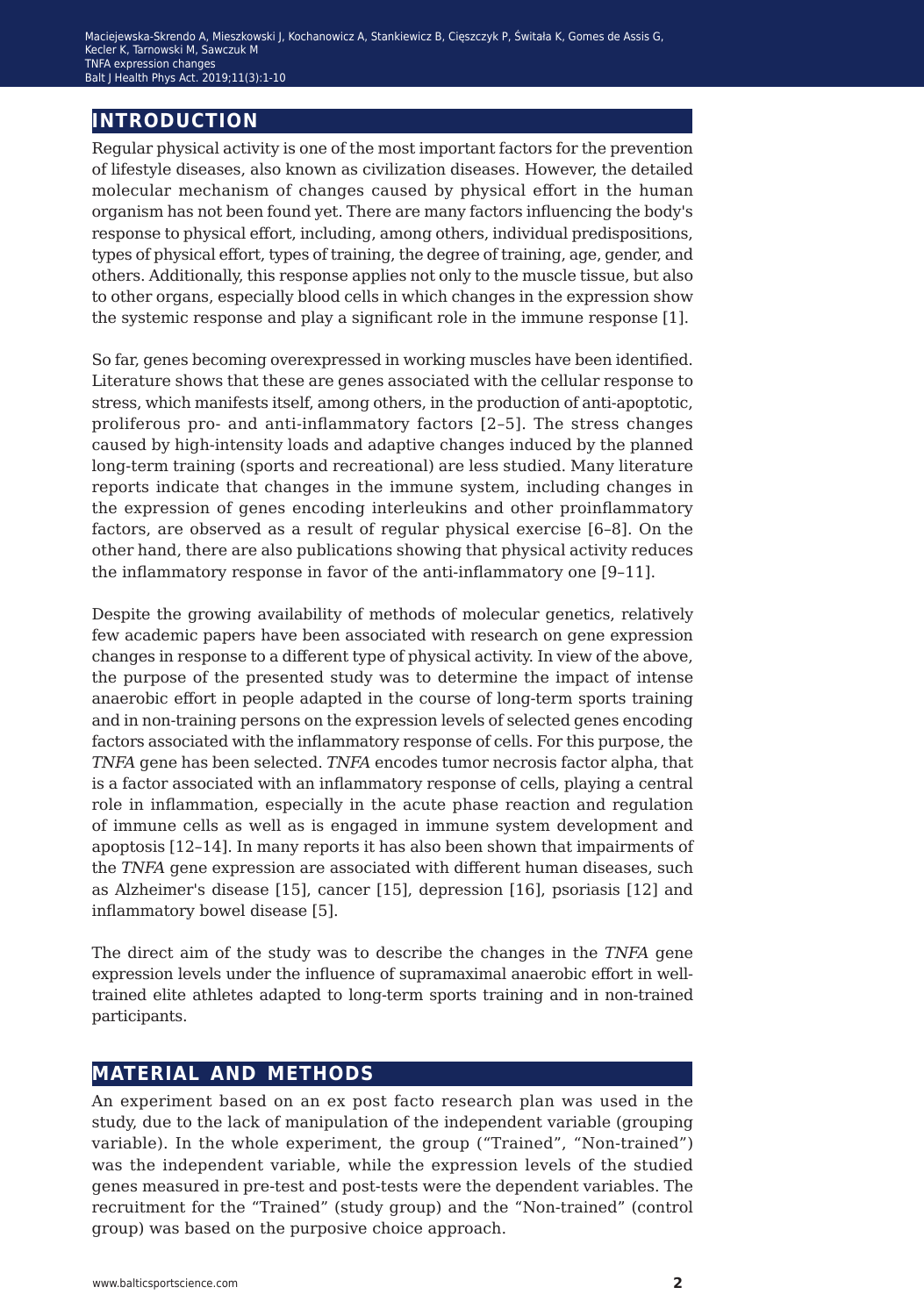### **introduction**

Regular physical activity is one of the most important factors for the prevention of lifestyle diseases, also known as civilization diseases. However, the detailed molecular mechanism of changes caused by physical effort in the human organism has not been found yet. There are many factors influencing the body's response to physical effort, including, among others, individual predispositions, types of physical effort, types of training, the degree of training, age, gender, and others. Additionally, this response applies not only to the muscle tissue, but also to other organs, especially blood cells in which changes in the expression show the systemic response and play a significant role in the immune response [1].

So far, genes becoming overexpressed in working muscles have been identified. Literature shows that these are genes associated with the cellular response to stress, which manifests itself, among others, in the production of anti-apoptotic, proliferous pro- and anti-inflammatory factors [2–5]. The stress changes caused by high-intensity loads and adaptive changes induced by the planned long-term training (sports and recreational) are less studied. Many literature reports indicate that changes in the immune system, including changes in the expression of genes encoding interleukins and other proinflammatory factors, are observed as a result of regular physical exercise [6–8]. On the other hand, there are also publications showing that physical activity reduces the inflammatory response in favor of the anti-inflammatory one [9–11].

Despite the growing availability of methods of molecular genetics, relatively few academic papers have been associated with research on gene expression changes in response to a different type of physical activity. In view of the above, the purpose of the presented study was to determine the impact of intense anaerobic effort in people adapted in the course of long-term sports training and in non-training persons on the expression levels of selected genes encoding factors associated with the inflammatory response of cells. For this purpose, the *TNFA* gene has been selected. *TNFA* encodes tumor necrosis factor alpha, that is a factor associated with an inflammatory response of cells, playing a central role in inflammation, especially in the acute phase reaction and regulation of immune cells as well as is engaged in immune system development and apoptosis [12–14]. In many reports it has also been shown that impairments of the *TNFA* gene expression are associated with different human diseases, such as Alzheimer's disease [15], cancer [15], depression [16], psoriasis [12] and inflammatory bowel disease [5].

The direct aim of the study was to describe the changes in the *TNFA* gene expression levels under the influence of supramaximal anaerobic effort in welltrained elite athletes adapted to long-term sports training and in non-trained participants.

#### **material and methods**

An experiment based on an ex post facto research plan was used in the study, due to the lack of manipulation of the independent variable (grouping variable). In the whole experiment, the group ("Trained", "Non-trained") was the independent variable, while the expression levels of the studied genes measured in pre-test and post-tests were the dependent variables. The recruitment for the "Trained" (study group) and the "Non-trained" (control group) was based on the purposive choice approach.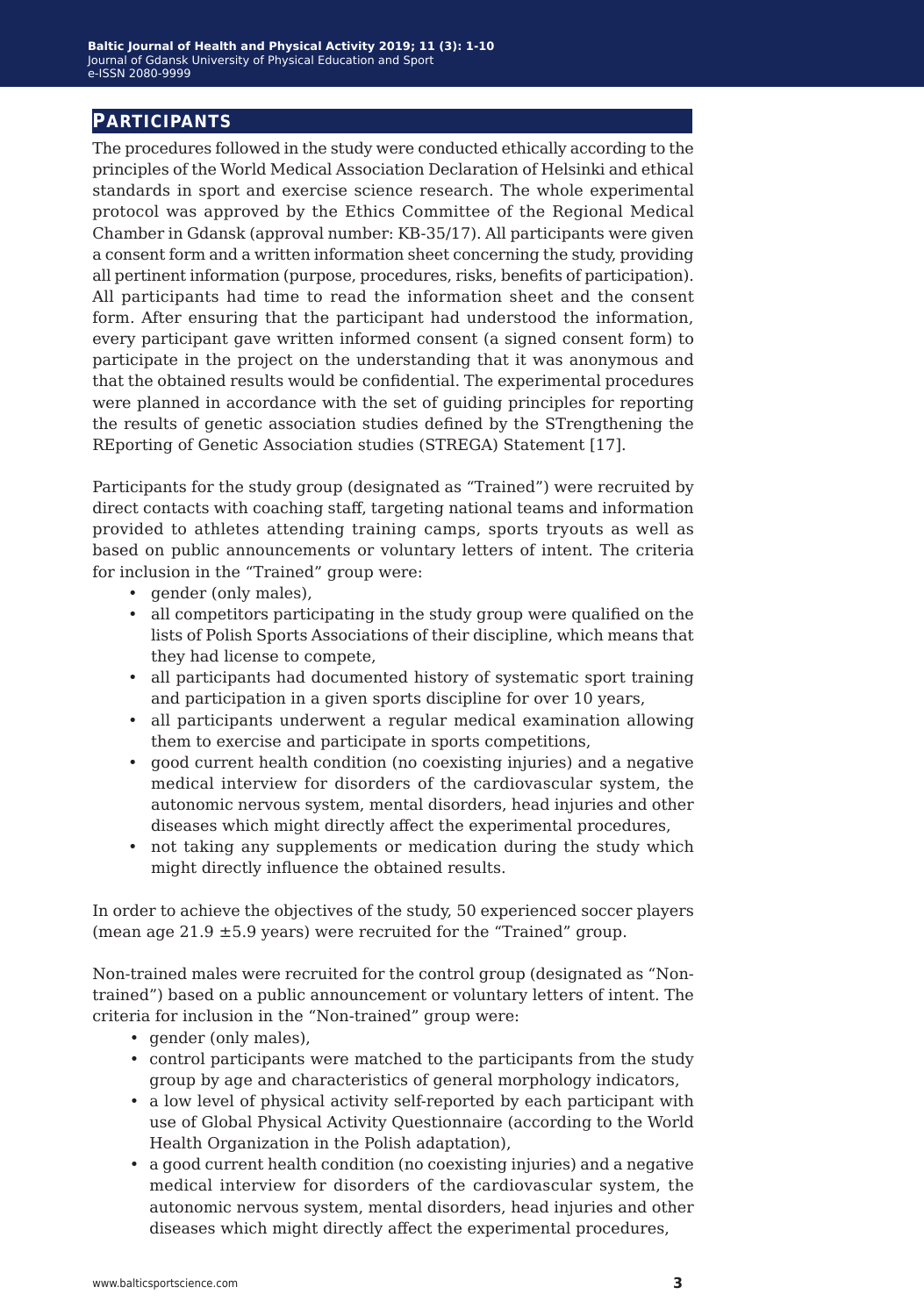#### **participants**

The procedures followed in the study were conducted ethically according to the principles of the World Medical Association Declaration of Helsinki and ethical standards in sport and exercise science research. The whole experimental protocol was approved by the Ethics Committee of the Regional Medical Chamber in Gdansk (approval number: KB-35/17). All participants were given a consent form and a written information sheet concerning the study, providing all pertinent information (purpose, procedures, risks, benefits of participation). All participants had time to read the information sheet and the consent form. After ensuring that the participant had understood the information, every participant gave written informed consent (a signed consent form) to participate in the project on the understanding that it was anonymous and that the obtained results would be confidential. The experimental procedures were planned in accordance with the set of guiding principles for reporting the results of genetic association studies defined by the STrengthening the REporting of Genetic Association studies (STREGA) Statement [17].

Participants for the study group (designated as "Trained") were recruited by direct contacts with coaching staff, targeting national teams and information provided to athletes attending training camps, sports tryouts as well as based on public announcements or voluntary letters of intent. The criteria for inclusion in the "Trained" group were:

- gender (only males),
- all competitors participating in the study group were qualified on the lists of Polish Sports Associations of their discipline, which means that they had license to compete,
- all participants had documented history of systematic sport training and participation in a given sports discipline for over 10 years,
- all participants underwent a regular medical examination allowing them to exercise and participate in sports competitions,
- good current health condition (no coexisting injuries) and a negative medical interview for disorders of the cardiovascular system, the autonomic nervous system, mental disorders, head injuries and other diseases which might directly affect the experimental procedures,
- not taking any supplements or medication during the study which might directly influence the obtained results.

In order to achieve the objectives of the study, 50 experienced soccer players (mean age  $21.9 \pm 5.9$  years) were recruited for the "Trained" group.

Non-trained males were recruited for the control group (designated as "Nontrained") based on a public announcement or voluntary letters of intent. The criteria for inclusion in the "Non-trained" group were:

- gender (only males),
- control participants were matched to the participants from the study group by age and characteristics of general morphology indicators,
- a low level of physical activity self-reported by each participant with use of Global Physical Activity Questionnaire (according to the World Health Organization in the Polish adaptation),
- a good current health condition (no coexisting injuries) and a negative medical interview for disorders of the cardiovascular system, the autonomic nervous system, mental disorders, head injuries and other diseases which might directly affect the experimental procedures,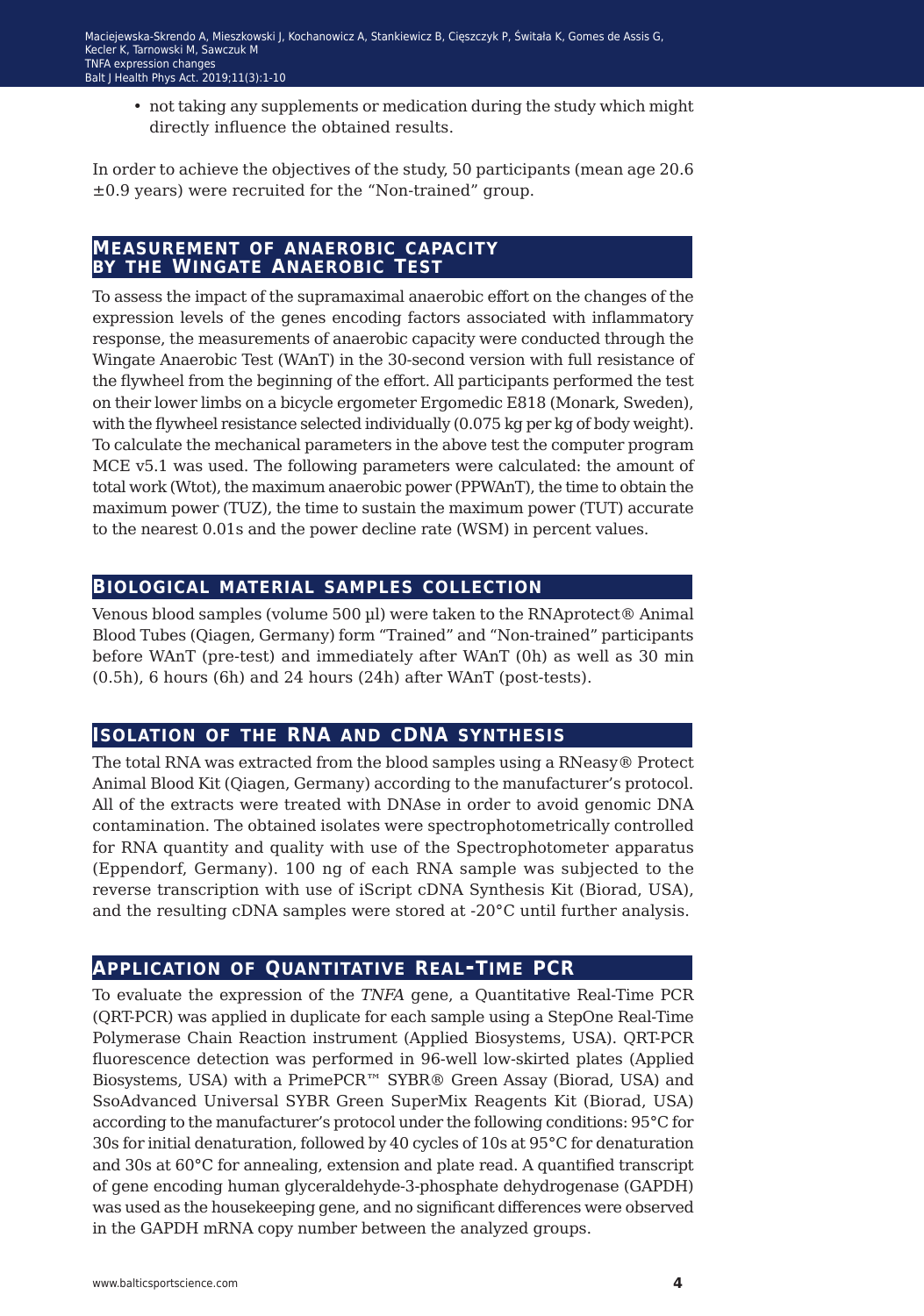• not taking any supplements or medication during the study which might directly influence the obtained results.

In order to achieve the objectives of the study, 50 participants (mean age 20.6 ±0.9 years) were recruited for the "Non-trained" group.

#### **measurement of anaerobic capacity by the wingate anaerobic test**

To assess the impact of the supramaximal anaerobic effort on the changes of the expression levels of the genes encoding factors associated with inflammatory response, the measurements of anaerobic capacity were conducted through the Wingate Anaerobic Test (WAnT) in the 30-second version with full resistance of the flywheel from the beginning of the effort. All participants performed the test on their lower limbs on a bicycle ergometer Ergomedic E818 (Monark, Sweden), with the flywheel resistance selected individually (0.075 kg per kg of body weight). To calculate the mechanical parameters in the above test the computer program MCE v5.1 was used. The following parameters were calculated: the amount of total work (Wtot), the maximum anaerobic power (PPWAnT), the time to obtain the maximum power (TUZ), the time to sustain the maximum power (TUT) accurate to the nearest 0.01s and the power decline rate (WSM) in percent values.

#### **biological material samples collection**

Venous blood samples (volume 500 µl) were taken to the RNAprotect® Animal Blood Tubes (Qiagen, Germany) form "Trained" and "Non-trained" participants before WAnT (pre-test) and immediately after WAnT (0h) as well as 30 min (0.5h), 6 hours (6h) and 24 hours (24h) after WAnT (post-tests).

### **isolation of the RNA and cDNA synthesis**

The total RNA was extracted from the blood samples using a RNeasy® Protect Animal Blood Kit (Qiagen, Germany) according to the manufacturer's protocol. All of the extracts were treated with DNAse in order to avoid genomic DNA contamination. The obtained isolates were spectrophotometrically controlled for RNA quantity and quality with use of the Spectrophotometer apparatus (Eppendorf, Germany). 100 ng of each RNA sample was subjected to the reverse transcription with use of iScript cDNA Synthesis Kit (Biorad, USA), and the resulting cDNA samples were stored at -20°C until further analysis.

### **application of Quantitative Real-Time PCR**

To evaluate the expression of the *TNFA* gene, a Quantitative Real-Time PCR (QRT-PCR) was applied in duplicate for each sample using a StepOne Real-Time Polymerase Chain Reaction instrument (Applied Biosystems, USA). QRT-PCR fluorescence detection was performed in 96-well low-skirted plates (Applied Biosystems, USA) with a PrimePCR™ SYBR® Green Assay (Biorad, USA) and SsoAdvanced Universal SYBR Green SuperMix Reagents Kit (Biorad, USA) according to the manufacturer's protocol under the following conditions: 95°C for 30s for initial denaturation, followed by 40 cycles of 10s at 95°C for denaturation and 30s at 60°C for annealing, extension and plate read. A quantified transcript of gene encoding human glyceraldehyde-3-phosphate dehydrogenase (GAPDH) was used as the housekeeping gene, and no significant differences were observed in the GAPDH mRNA copy number between the analyzed groups.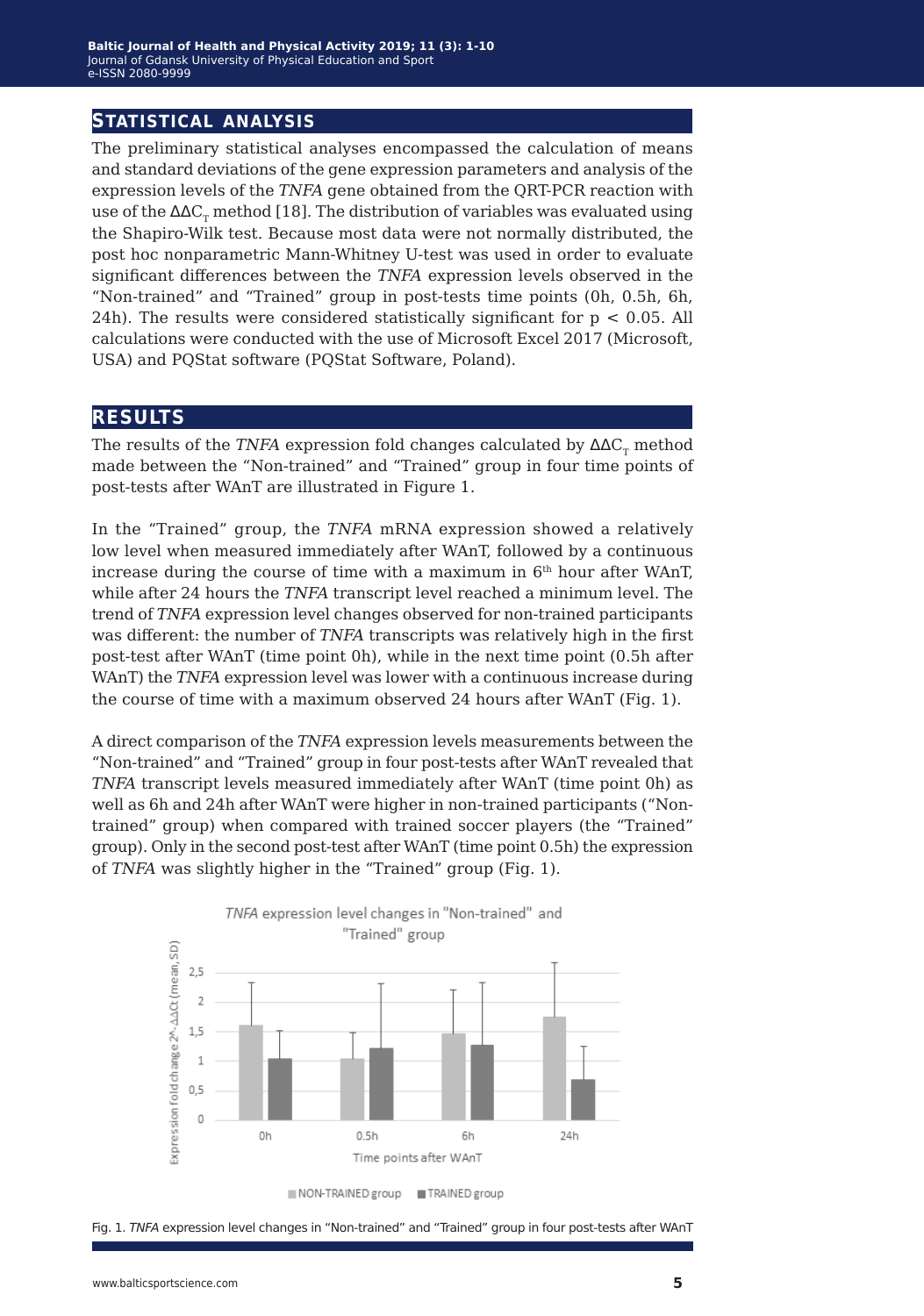#### **statistical analysis**

The preliminary statistical analyses encompassed the calculation of means and standard deviations of the gene expression parameters and analysis of the expression levels of the *TNFA* gene obtained from the QRT-PCR reaction with use of the  $\Delta\Delta C_{\tau}$  method [18]. The distribution of variables was evaluated using the Shapiro-Wilk test. Because most data were not normally distributed, the post hoc nonparametric Mann-Whitney U-test was used in order to evaluate significant differences between the *TNFA* expression levels observed in the "Non-trained" and "Trained" group in post-tests time points (0h, 0.5h, 6h, 24h). The results were considered statistically significant for  $p < 0.05$ . All calculations were conducted with the use of Microsoft Excel 2017 (Microsoft, USA) and PQStat software (PQStat Software, Poland).

#### **results**

The results of the *TNFA* expression fold changes calculated by  $\Delta \Delta C_{\tau}$  method made between the "Non-trained" and "Trained" group in four time points of post-tests after WAnT are illustrated in Figure 1.

In the "Trained" group, the *TNFA* mRNA expression showed a relatively low level when measured immediately after WAnT, followed by a continuous increase during the course of time with a maximum in  $6<sup>th</sup>$  hour after WAnT, while after 24 hours the *TNFA* transcript level reached a minimum level. The trend of *TNFA* expression level changes observed for non-trained participants was different: the number of *TNFA* transcripts was relatively high in the first post-test after WAnT (time point 0h), while in the next time point (0.5h after WAnT) the *TNFA* expression level was lower with a continuous increase during the course of time with a maximum observed 24 hours after WAnT (Fig. 1).

A direct comparison of the *TNFA* expression levels measurements between the "Non-trained" and "Trained" group in four post-tests after WAnT revealed that *TNFA* transcript levels measured immediately after WAnT (time point 0h) as well as 6h and 24h after WAnT were higher in non-trained participants ("Nontrained" group) when compared with trained soccer players (the "Trained" group). Only in the second post-test after WAnT (time point 0.5h) the expression of *TNFA* was slightly higher in the "Trained" group (Fig. 1).



Fig. 1. *TNFA* expression level changes in "Non-trained" and "Trained" group in four post-tests after WAnT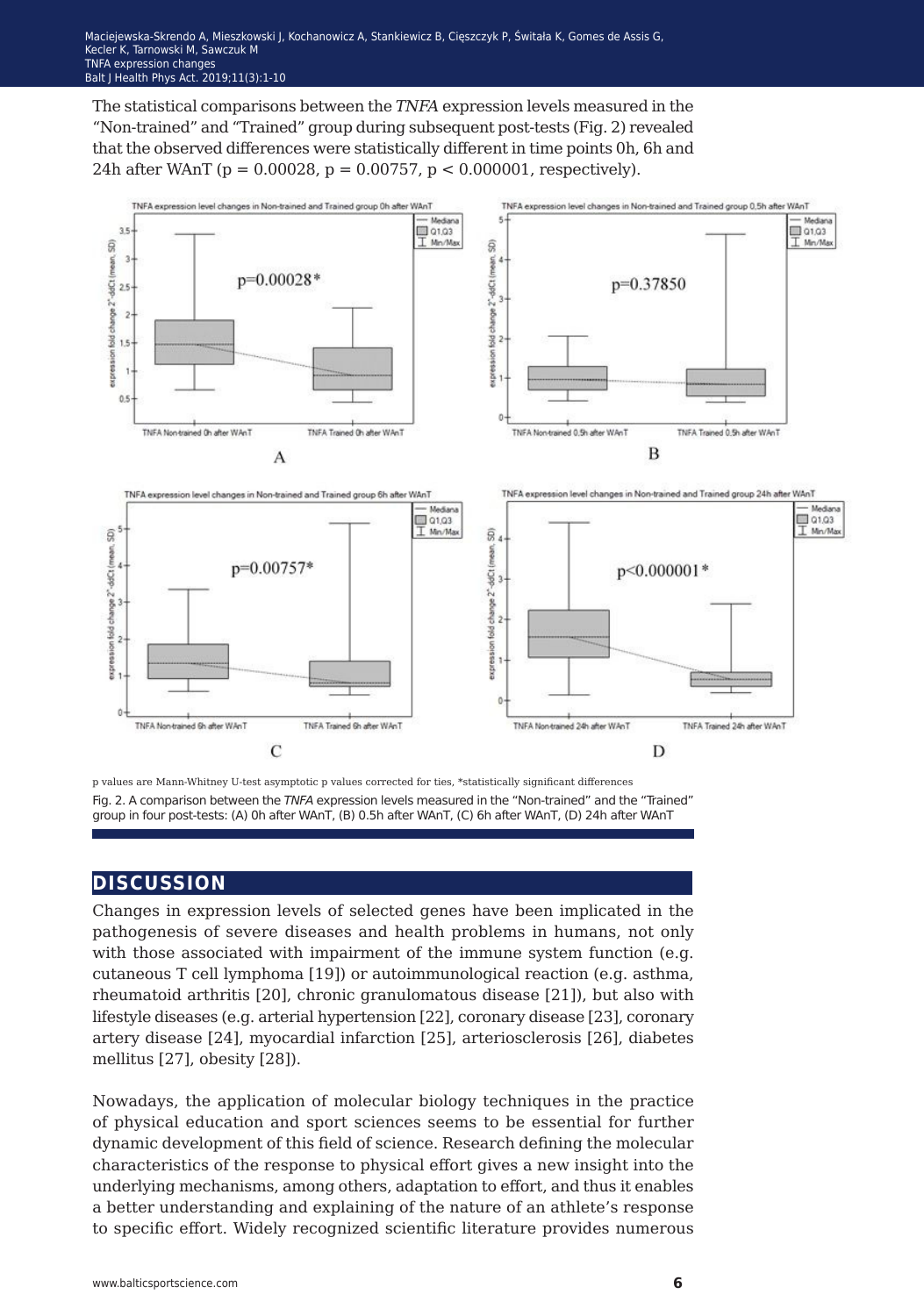The statistical comparisons between the *TNFA* expression levels measured in the "Non-trained" and "Trained" group during subsequent post-tests (Fig. 2) revealed that the observed differences were statistically different in time points 0h, 6h and 24h after WAnT ( $p = 0.00028$ ,  $p = 0.00757$ ,  $p < 0.000001$ , respectively).



p values are Mann-Whitney U-test asymptotic p values corrected for ties, \*statistically significant differences Fig. 2. A comparison between the *TNFA* expression levels measured in the "Non-trained" and the "Trained" group in four post-tests: (A) 0h after WAnT, (B) 0.5h after WAnT, (C) 6h after WAnT, (D) 24h after WAnT

### **discussion**

Changes in expression levels of selected genes have been implicated in the pathogenesis of severe diseases and health problems in humans, not only with those associated with impairment of the immune system function (e.g. cutaneous T cell lymphoma [19]) or autoimmunological reaction (e.g. asthma, rheumatoid arthritis [20], chronic granulomatous disease [21]), but also with lifestyle diseases (e.g. arterial hypertension [22], coronary disease [23], coronary artery disease [24], myocardial infarction [25], arteriosclerosis [26], diabetes mellitus [27], obesity [28]).

Nowadays, the application of molecular biology techniques in the practice of physical education and sport sciences seems to be essential for further dynamic development of this field of science. Research defining the molecular characteristics of the response to physical effort gives a new insight into the underlying mechanisms, among others, adaptation to effort, and thus it enables a better understanding and explaining of the nature of an athlete's response to specific effort. Widely recognized scientific literature provides numerous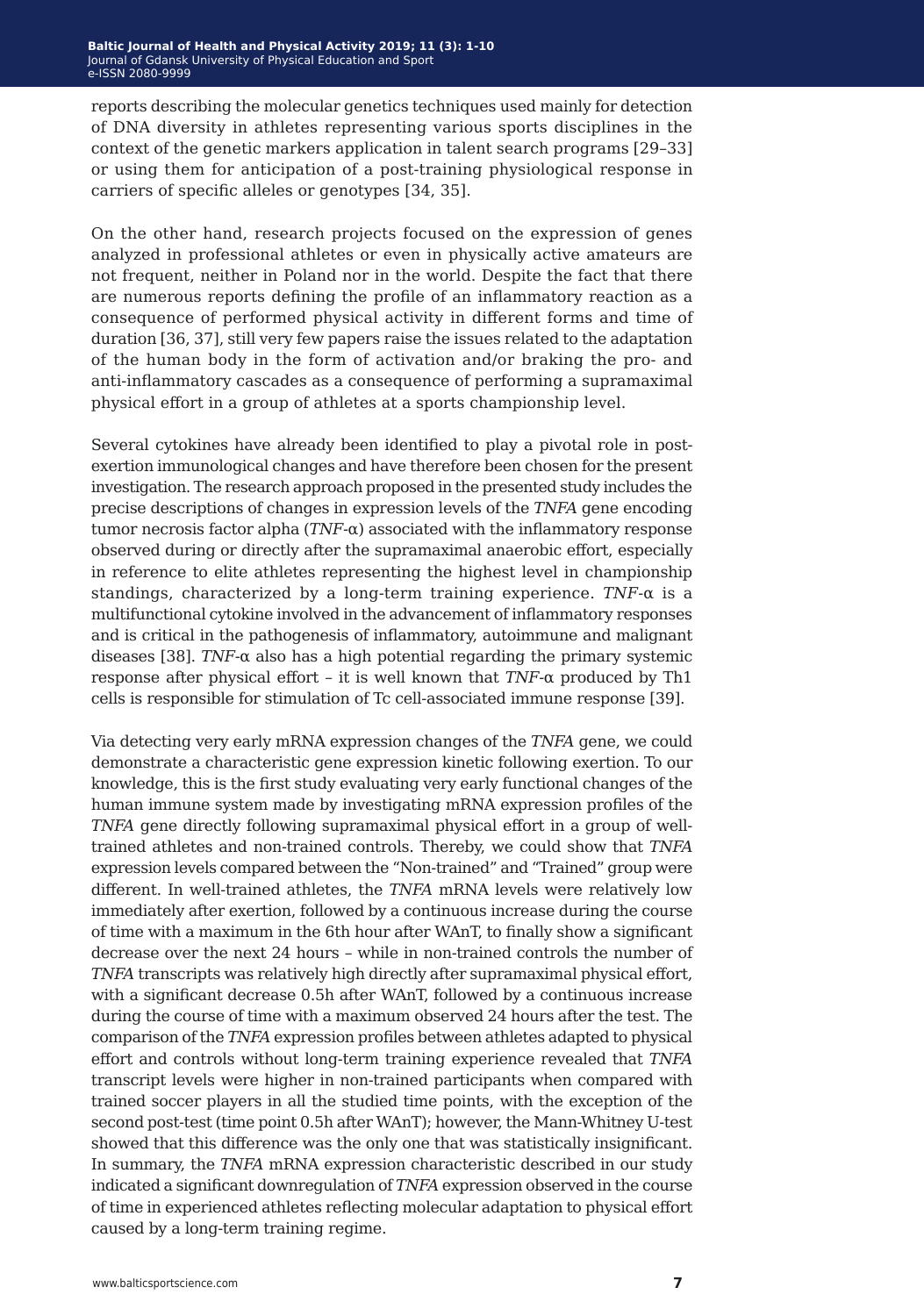reports describing the molecular genetics techniques used mainly for detection of DNA diversity in athletes representing various sports disciplines in the context of the genetic markers application in talent search programs [29–33] or using them for anticipation of a post-training physiological response in carriers of specific alleles or genotypes [34, 35].

On the other hand, research projects focused on the expression of genes analyzed in professional athletes or even in physically active amateurs are not frequent, neither in Poland nor in the world. Despite the fact that there are numerous reports defining the profile of an inflammatory reaction as a consequence of performed physical activity in different forms and time of duration [36, 37], still very few papers raise the issues related to the adaptation of the human body in the form of activation and/or braking the pro- and anti-inflammatory cascades as a consequence of performing a supramaximal physical effort in a group of athletes at a sports championship level.

Several cytokines have already been identified to play a pivotal role in postexertion immunological changes and have therefore been chosen for the present investigation. The research approach proposed in the presented study includes the precise descriptions of changes in expression levels of the *TNFA* gene encoding tumor necrosis factor alpha (*TNF*‑α) associated with the inflammatory response observed during or directly after the supramaximal anaerobic effort, especially in reference to elite athletes representing the highest level in championship standings, characterized by a long-term training experience. *TNF*‑α is a multifunctional cytokine involved in the advancement of inflammatory responses and is critical in the pathogenesis of inflammatory, autoimmune and malignant diseases [38]. *TNF*- $\alpha$  also has a high potential regarding the primary systemic response after physical effort – it is well known that *TNF*-α produced by Th1 cells is responsible for stimulation of Tc cell-associated immune response [39].

Via detecting very early mRNA expression changes of the *TNFA* gene, we could demonstrate a characteristic gene expression kinetic following exertion. To our knowledge, this is the first study evaluating very early functional changes of the human immune system made by investigating mRNA expression profiles of the *TNFA* gene directly following supramaximal physical effort in a group of welltrained athletes and non-trained controls. Thereby, we could show that *TNFA* expression levels compared between the "Non-trained" and "Trained" group were different. In well-trained athletes, the *TNFA* mRNA levels were relatively low immediately after exertion, followed by a continuous increase during the course of time with a maximum in the 6th hour after WAnT, to finally show a significant decrease over the next 24 hours – while in non-trained controls the number of *TNFA* transcripts was relatively high directly after supramaximal physical effort, with a significant decrease 0.5h after WAnT, followed by a continuous increase during the course of time with a maximum observed 24 hours after the test. The comparison of the *TNFA* expression profiles between athletes adapted to physical effort and controls without long-term training experience revealed that *TNFA* transcript levels were higher in non-trained participants when compared with trained soccer players in all the studied time points, with the exception of the second post-test (time point 0.5h after WAnT); however, the Mann-Whitney U-test showed that this difference was the only one that was statistically insignificant. In summary, the *TNFA* mRNA expression characteristic described in our study indicated a significant downregulation of *TNFA* expression observed in the course of time in experienced athletes reflecting molecular adaptation to physical effort caused by a long-term training regime.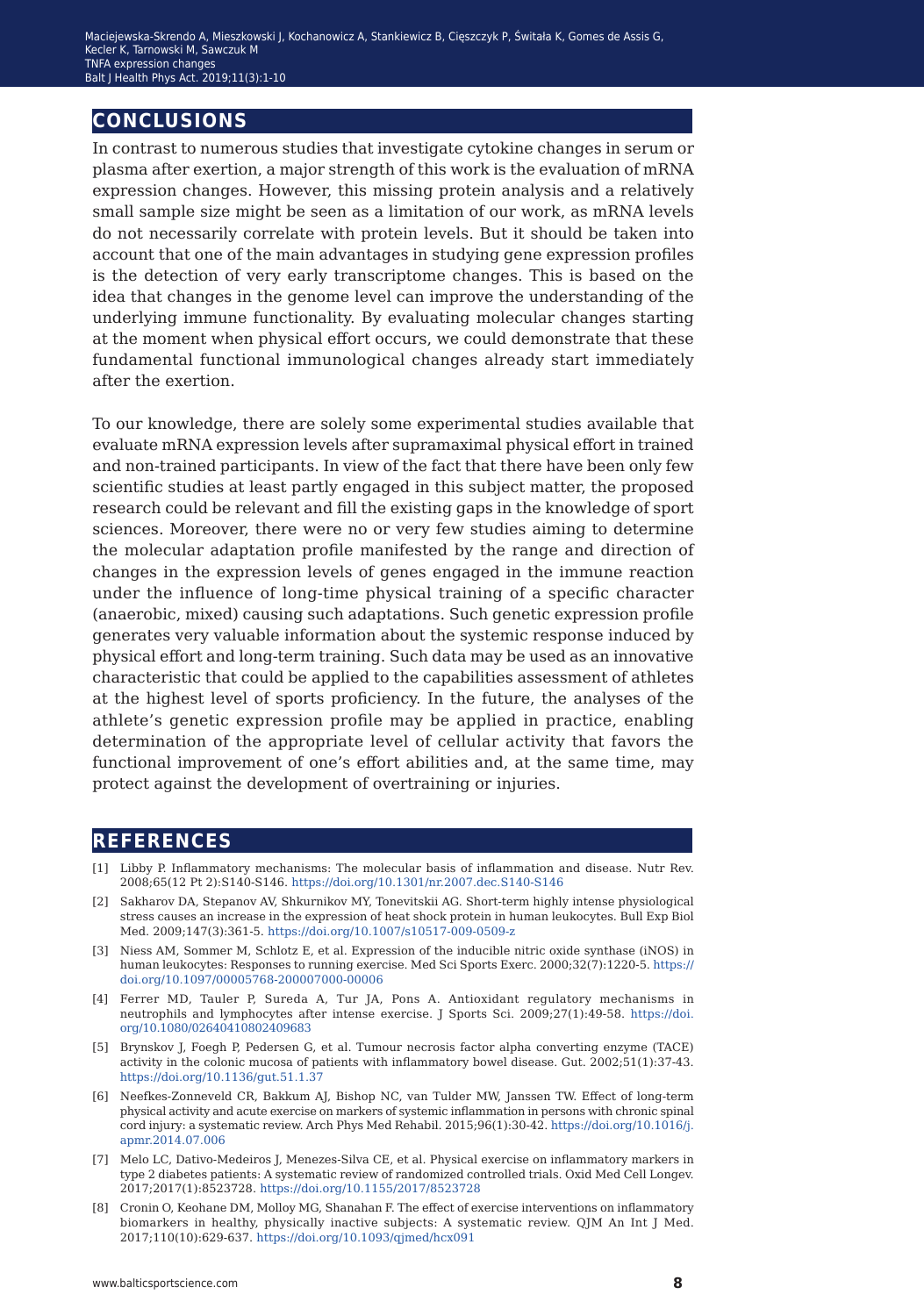#### **conclusions**

In contrast to numerous studies that investigate cytokine changes in serum or plasma after exertion, a major strength of this work is the evaluation of mRNA expression changes. However, this missing protein analysis and a relatively small sample size might be seen as a limitation of our work, as mRNA levels do not necessarily correlate with protein levels. But it should be taken into account that one of the main advantages in studying gene expression profiles is the detection of very early transcriptome changes. This is based on the idea that changes in the genome level can improve the understanding of the underlying immune functionality. By evaluating molecular changes starting at the moment when physical effort occurs, we could demonstrate that these fundamental functional immunological changes already start immediately after the exertion.

To our knowledge, there are solely some experimental studies available that evaluate mRNA expression levels after supramaximal physical effort in trained and non-trained participants. In view of the fact that there have been only few scientific studies at least partly engaged in this subject matter, the proposed research could be relevant and fill the existing gaps in the knowledge of sport sciences. Moreover, there were no or very few studies aiming to determine the molecular adaptation profile manifested by the range and direction of changes in the expression levels of genes engaged in the immune reaction under the influence of long-time physical training of a specific character (anaerobic, mixed) causing such adaptations. Such genetic expression profile generates very valuable information about the systemic response induced by physical effort and long-term training. Such data may be used as an innovative characteristic that could be applied to the capabilities assessment of athletes at the highest level of sports proficiency. In the future, the analyses of the athlete's genetic expression profile may be applied in practice, enabling determination of the appropriate level of cellular activity that favors the functional improvement of one's effort abilities and, at the same time, may protect against the development of overtraining or injuries.

#### **references**

- [1] Libby P. Inflammatory mechanisms: The molecular basis of inflammation and disease. Nutr Rev. 2008;65(12 Pt 2):S140-S146.<https://doi.org/10.1301/nr.2007.dec.S140-S146>
- [2] Sakharov DA, Stepanov AV, Shkurnikov MY, Tonevitskii AG. Short-term highly intense physiological stress causes an increase in the expression of heat shock protein in human leukocytes. Bull Exp Biol Med. 2009;147(3):361-5.<https://doi.org/10.1007/s10517-009-0509-z>
- [3] Niess AM, Sommer M, Schlotz E, et al. Expression of the inducible nitric oxide synthase (iNOS) in human leukocytes: Responses to running exercise. Med Sci Sports Exerc. 2000;32(7):1220-5. [https://](https://doi.org/10.1097/00005768-200007000-00006) [doi.org/10.1097/00005768-200007000-00006](https://doi.org/10.1097/00005768-200007000-00006)
- [4] Ferrer MD, Tauler P, Sureda A, Tur JA, Pons A. Antioxidant regulatory mechanisms in neutrophils and lymphocytes after intense exercise. J Sports Sci. 2009;27(1):49-58. [https://doi.](https://doi.org/10.1080/02640410802409683) [org/10.1080/02640410802409683](https://doi.org/10.1080/02640410802409683)
- [5] Brynskov J, Foegh P, Pedersen G, et al. Tumour necrosis factor alpha converting enzyme (TACE) activity in the colonic mucosa of patients with inflammatory bowel disease. Gut. 2002;51(1):37-43. <https://doi.org/10.1136/gut.51.1.37>
- [6] Neefkes-Zonneveld CR, Bakkum AJ, Bishop NC, van Tulder MW, Janssen TW. Effect of long-term physical activity and acute exercise on markers of systemic inflammation in persons with chronic spinal cord injury: a systematic review. Arch Phys Med Rehabil. 2015;96(1):30-42. [https://doi.org/10.1016/j.](https://doi.org/10.1016/j.apmr.2014.07.006) [apmr.2014.07.006](https://doi.org/10.1016/j.apmr.2014.07.006)
- [7] Melo LC, Dativo-Medeiros J, Menezes-Silva CE, et al. Physical exercise on inflammatory markers in type 2 diabetes patients: A systematic review of randomized controlled trials. Oxid Med Cell Longev. 2017;2017(1):8523728. <https://doi.org/10.1155/2017/8523728>
- [8] Cronin O, Keohane DM, Molloy MG, Shanahan F. The effect of exercise interventions on inflammatory biomarkers in healthy, physically inactive subjects: A systematic review. QJM An Int J Med. 2017;110(10):629-637.<https://doi.org/10.1093/qjmed/hcx091>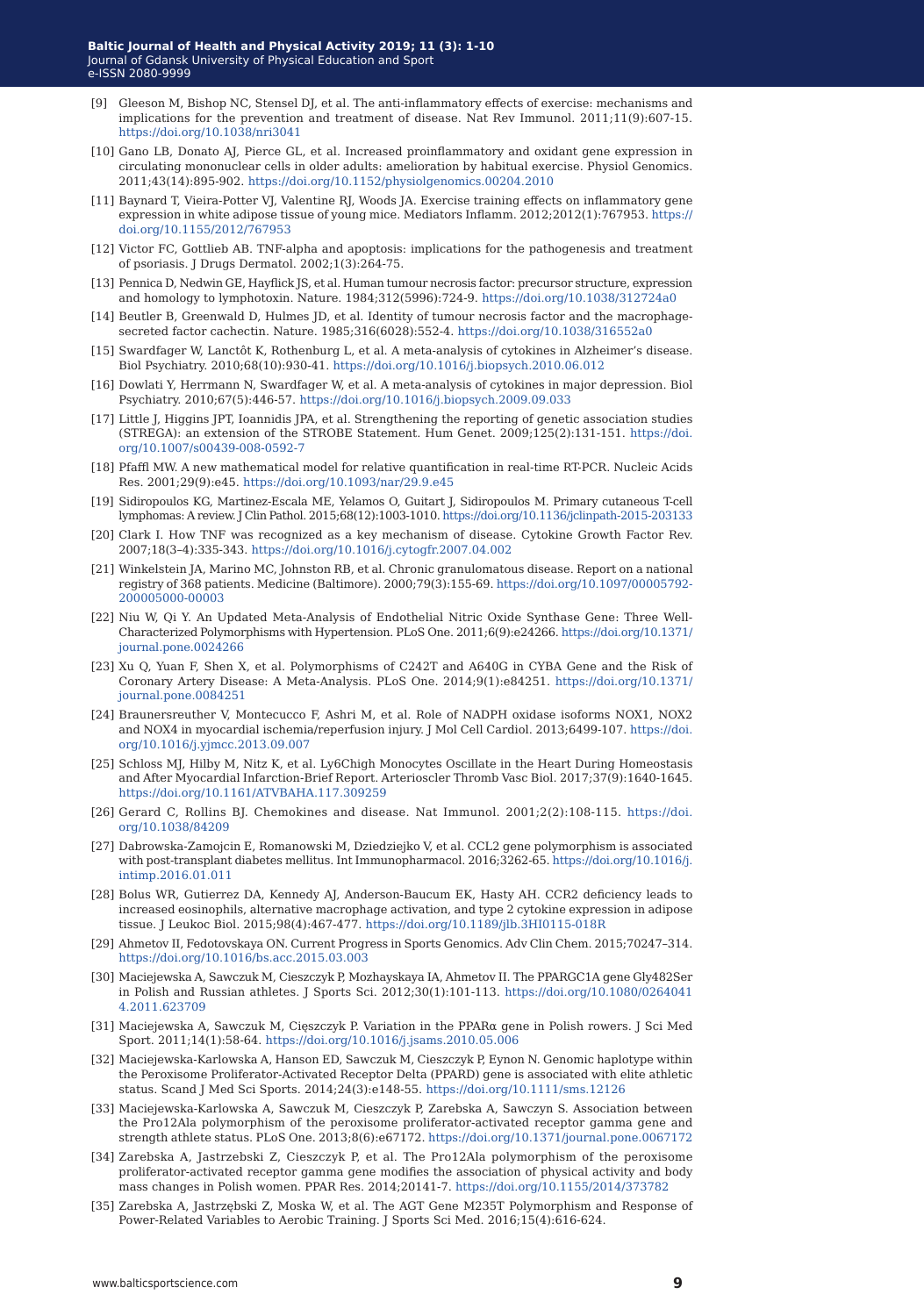- [9] Gleeson M, Bishop NC, Stensel DJ, et al. The anti-inflammatory effects of exercise: mechanisms and implications for the prevention and treatment of disease. Nat Rev Immunol. 2011;11(9):607-15. <https://doi.org/10.1038/nri3041>
- [10] Gano LB, Donato AJ, Pierce GL, et al. Increased proinflammatory and oxidant gene expression in circulating mononuclear cells in older adults: amelioration by habitual exercise. Physiol Genomics. 2011;43(14):895-902.<https://doi.org/10.1152/physiolgenomics.00204.2010>
- [11] Baynard T, Vieira-Potter VJ, Valentine RJ, Woods JA. Exercise training effects on inflammatory gene expression in white adipose tissue of young mice. Mediators Inflamm. 2012;2012(1):767953. [https://](https://doi.org/10.1155/2012/767953) [doi.org/10.1155/2012/767953](https://doi.org/10.1155/2012/767953)
- [12] Victor FC, Gottlieb AB. TNF-alpha and apoptosis: implications for the pathogenesis and treatment of psoriasis. J Drugs Dermatol. 2002;1(3):264-75.
- [13] Pennica D, Nedwin GE, Hayflick JS, et al. Human tumour necrosis factor: precursor structure, expression and homology to lymphotoxin. Nature. 1984;312(5996):724-9. <https://doi.org/10.1038/312724a0>
- [14] Beutler B, Greenwald D, Hulmes JD, et al. Identity of tumour necrosis factor and the macrophagesecreted factor cachectin. Nature. 1985;316(6028):552-4. <https://doi.org/10.1038/316552a0>
- [15] Swardfager W, Lanctôt K, Rothenburg L, et al. A meta-analysis of cytokines in Alzheimer's disease. Biol Psychiatry. 2010;68(10):930-41.<https://doi.org/10.1016/j.biopsych.2010.06.012>
- [16] Dowlati Y, Herrmann N, Swardfager W, et al. A meta-analysis of cytokines in major depression. Biol Psychiatry. 2010;67(5):446-57. <https://doi.org/10.1016/j.biopsych.2009.09.033>
- [17] Little J, Higgins JPT, Ioannidis JPA, et al. Strengthening the reporting of genetic association studies (STREGA): an extension of the STROBE Statement. Hum Genet. 2009;125(2):131-151. [https://doi.](https://doi.org/10.1007/s00439-008-0592-7) [org/10.1007/s00439-008-0592-7](https://doi.org/10.1007/s00439-008-0592-7)
- [18] Pfaffl MW. A new mathematical model for relative quantification in real-time RT-PCR. Nucleic Acids Res. 2001;29(9):e45[. https://doi.org/10.1093/nar/29.9.e45](https://doi.org/10.1093/nar/29.9.e45)
- [19] Sidiropoulos KG, Martinez-Escala ME, Yelamos O, Guitart J, Sidiropoulos M. Primary cutaneous T-cell lymphomas: A review. J Clin Pathol. 2015;68(12):1003-1010.<https://doi.org/10.1136/jclinpath-2015-203133>
- [20] Clark I. How TNF was recognized as a key mechanism of disease. Cytokine Growth Factor Rev. 2007;18(3–4):335-343.<https://doi.org/10.1016/j.cytogfr.2007.04.002>
- [21] Winkelstein JA, Marino MC, Johnston RB, et al. Chronic granulomatous disease. Report on a national registry of 368 patients. Medicine (Baltimore). 2000;79(3):155-69. [https://doi.org/10.1097/00005792-](https://doi.org/10.1097/00005792-200005000-00003) [200005000-00003](https://doi.org/10.1097/00005792-200005000-00003)
- [22] Niu W, Qi Y. An Updated Meta-Analysis of Endothelial Nitric Oxide Synthase Gene: Three Well-Characterized Polymorphisms with Hypertension. PLoS One. 2011;6(9):e24266. [https://doi.org/10.1371/](https://doi.org/10.1371/journal.pone.0024266) [journal.pone.0024266](https://doi.org/10.1371/journal.pone.0024266)
- [23] Xu Q, Yuan F, Shen X, et al. Polymorphisms of C242T and A640G in CYBA Gene and the Risk of Coronary Artery Disease: A Meta-Analysis. PLoS One. 2014;9(1):e84251. [https://doi.org/10.1371/](https://doi.org/10.1371/journal.pone.0084251) [journal.pone.0084251](https://doi.org/10.1371/journal.pone.0084251)
- [24] Braunersreuther V, Montecucco F, Ashri M, et al. Role of NADPH oxidase isoforms NOX1, NOX2 and NOX4 in myocardial ischemia/reperfusion injury. J Mol Cell Cardiol. 2013;6499-107. [https://doi.](https://doi.org/10.1016/j.yjmcc.2013.09.007) [org/10.1016/j.yjmcc.2013.09.007](https://doi.org/10.1016/j.yjmcc.2013.09.007)
- [25] Schloss MJ, Hilby M, Nitz K, et al. Ly6Chigh Monocytes Oscillate in the Heart During Homeostasis and After Myocardial Infarction-Brief Report. Arterioscler Thromb Vasc Biol. 2017;37(9):1640-1645. <https://doi.org/10.1161/ATVBAHA.117.309259>
- [26] Gerard C, Rollins BJ. Chemokines and disease. Nat Immunol. 2001;2(2):108-115. [https://doi.](https://doi.org/10.1038/84209) [org/10.1038/84209](https://doi.org/10.1038/84209)
- [27] Dabrowska-Zamojcin E, Romanowski M, Dziedziejko V, et al. CCL2 gene polymorphism is associated with post-transplant diabetes mellitus. Int Immunopharmacol. 2016;3262-65. [https://doi.org/10.1016/j.](https://doi.org/10.1016/j.intimp.2016.01.011) [intimp.2016.01.011](https://doi.org/10.1016/j.intimp.2016.01.011)
- [28] Bolus WR, Gutierrez DA, Kennedy AJ, Anderson-Baucum EK, Hasty AH. CCR2 deficiency leads to increased eosinophils, alternative macrophage activation, and type 2 cytokine expression in adipose tissue. J Leukoc Biol. 2015;98(4):467-477.<https://doi.org/10.1189/jlb.3HI0115-018R>
- [29] Ahmetov II, Fedotovskaya ON. Current Progress in Sports Genomics. Adv Clin Chem. 2015;70247–314. <https://doi.org/10.1016/bs.acc.2015.03.003>
- [30] Maciejewska A, Sawczuk M, Cieszczyk P, Mozhayskaya IA, Ahmetov II. The PPARGC1A gene Gly482Ser in Polish and Russian athletes. J Sports Sci. 2012;30(1):101-113. [https://doi.org/10.1080/0264041](https://doi.org/10.1080/02640414.2011.623709) [4.2011.623709](https://doi.org/10.1080/02640414.2011.623709)
- [31] Maciejewska A, Sawczuk M, Cięszczyk P. Variation in the PPARα gene in Polish rowers. J Sci Med Sport. 2011;14(1):58-64.<https://doi.org/10.1016/j.jsams.2010.05.006>
- [32] Maciejewska-Karlowska A, Hanson ED, Sawczuk M, Cieszczyk P, Eynon N. Genomic haplotype within the Peroxisome Proliferator-Activated Receptor Delta (PPARD) gene is associated with elite athletic status. Scand J Med Sci Sports. 2014;24(3):e148-55.<https://doi.org/10.1111/sms.12126>
- [33] Maciejewska-Karlowska A, Sawczuk M, Cieszczyk P, Zarebska A, Sawczyn S. Association between the Pro12Ala polymorphism of the peroxisome proliferator-activated receptor gamma gene and strength athlete status. PLoS One. 2013;8(6):e67172.<https://doi.org/10.1371/journal.pone.0067172>
- [34] Zarebska A, Jastrzebski Z, Cieszczyk P, et al. The Pro12Ala polymorphism of the peroxisome proliferator-activated receptor gamma gene modifies the association of physical activity and body mass changes in Polish women. PPAR Res. 2014;20141-7. <https://doi.org/10.1155/2014/373782>
- [35] Zarebska A, Jastrzębski Z, Moska W, et al. The AGT Gene M235T Polymorphism and Response of Power-Related Variables to Aerobic Training. J Sports Sci Med. 2016;15(4):616-624.